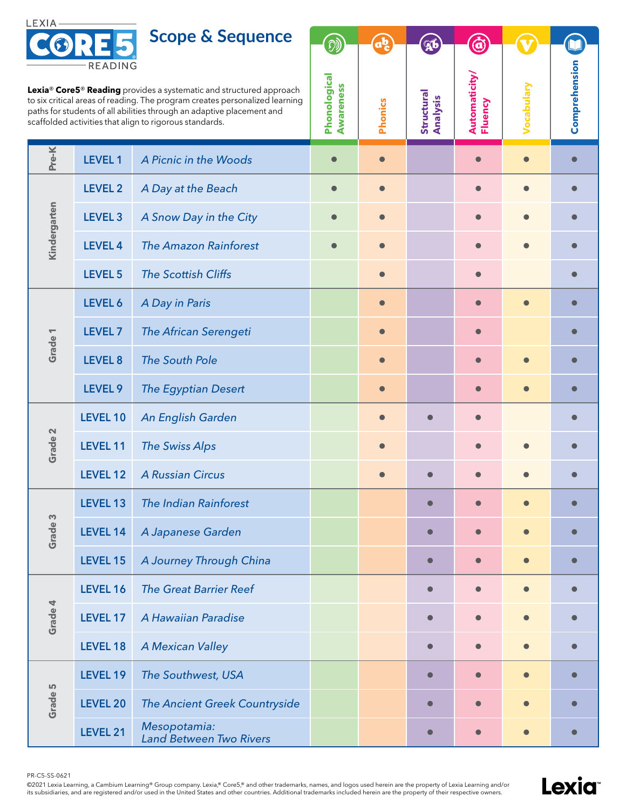

**Scope & Sequence**

| READING<br>Lexia <sup>®</sup> Core5 <sup>®</sup> Reading provides a systematic and structured approach<br>to six critical areas of reading. The program creates personalized learning<br>paths for students of all abilities through an adaptive placement and<br>scaffolded activities that align to rigorous standards. |                    |                                         | Phonological<br><b>Awareness</b> | <b>Phonics</b> | Structural<br>Analysis | Automaticity/<br>Fluency | Vocabulary | Comprehension |
|---------------------------------------------------------------------------------------------------------------------------------------------------------------------------------------------------------------------------------------------------------------------------------------------------------------------------|--------------------|-----------------------------------------|----------------------------------|----------------|------------------------|--------------------------|------------|---------------|
| Pre-K                                                                                                                                                                                                                                                                                                                     | <b>LEVEL 1</b>     | A Picnic in the Woods                   | $\bullet$                        | $\bullet$      |                        |                          |            | $\bullet$     |
| Kindergarten                                                                                                                                                                                                                                                                                                              | LEVEL 2            | A Day at the Beach                      | $\bullet$                        | $\bullet$      |                        | $\bullet$                | $\bullet$  | $\bullet$     |
|                                                                                                                                                                                                                                                                                                                           | LEVEL <sub>3</sub> | A Snow Day in the City                  |                                  |                |                        |                          |            |               |
|                                                                                                                                                                                                                                                                                                                           | <b>LEVEL 4</b>     | <b>The Amazon Rainforest</b>            |                                  |                |                        |                          |            |               |
|                                                                                                                                                                                                                                                                                                                           | LEVEL 5            | <b>The Scottish Cliffs</b>              |                                  | $\bullet$      |                        | $\bullet$                |            | $\bullet$     |
| Grade <sub>1</sub>                                                                                                                                                                                                                                                                                                        | LEVEL 6            | A Day in Paris                          |                                  |                |                        |                          |            |               |
|                                                                                                                                                                                                                                                                                                                           | LEVEL <sub>7</sub> | The African Serengeti                   |                                  |                |                        |                          |            |               |
|                                                                                                                                                                                                                                                                                                                           | LEVEL 8            | <b>The South Pole</b>                   |                                  | $\bullet$      |                        | $\bullet$                |            | O             |
|                                                                                                                                                                                                                                                                                                                           | LEVEL 9            | <b>The Egyptian Desert</b>              |                                  |                |                        |                          |            |               |
| Grade 2                                                                                                                                                                                                                                                                                                                   | LEVEL 10           | An English Garden                       |                                  |                |                        |                          |            |               |
|                                                                                                                                                                                                                                                                                                                           | LEVEL 11           | <b>The Swiss Alps</b>                   |                                  |                |                        | $\bullet$                |            |               |
|                                                                                                                                                                                                                                                                                                                           | LEVEL 12           | <b>A Russian Circus</b>                 |                                  |                |                        |                          |            |               |
| S<br>Grade                                                                                                                                                                                                                                                                                                                | LEVEL 13           | <b>The Indian Rainforest</b>            |                                  |                |                        |                          |            |               |
|                                                                                                                                                                                                                                                                                                                           | LEVEL 14           | A Japanese Garden                       |                                  |                |                        |                          |            | $\bullet$     |
|                                                                                                                                                                                                                                                                                                                           | LEVEL 15           | A Journey Through China                 |                                  |                | $\bullet$              |                          |            | $\bullet$     |
| Grade 4                                                                                                                                                                                                                                                                                                                   | LEVEL 16           | <b>The Great Barrier Reef</b>           |                                  |                | $\bullet$              | $\bullet$                | $\bullet$  | $\bullet$     |
|                                                                                                                                                                                                                                                                                                                           | LEVEL 17           | A Hawaiian Paradise                     |                                  |                | $\bullet$              |                          |            | $\bullet$     |
|                                                                                                                                                                                                                                                                                                                           | LEVEL 18           | <b>A Mexican Valley</b>                 |                                  |                |                        |                          |            |               |
| Grade 5                                                                                                                                                                                                                                                                                                                   | LEVEL 19           | The Southwest, USA                      |                                  |                | $\bullet$              | $\bullet$                | $\bullet$  | $\bullet$     |
|                                                                                                                                                                                                                                                                                                                           | <b>LEVEL 20</b>    | The Ancient Greek Countryside           |                                  |                | $\bullet$              |                          |            | $\bullet$     |
|                                                                                                                                                                                                                                                                                                                           | LEVEL 21           | Mesopotamia:<br>Land Between Two Rivers |                                  |                |                        |                          |            |               |

PR-C5-SS-0621

©2021 Lexia Learning, a Cambium Learning® Group company. Lexia,® Core5,® and other trademarks, names, and logos used herein are the property of Lexia Learning and/or<br>its subsidiaries, and are registered and/or used in the



O

**V** 

hension

 $\mathbf{A}$ 

 $\mathcal{D}$